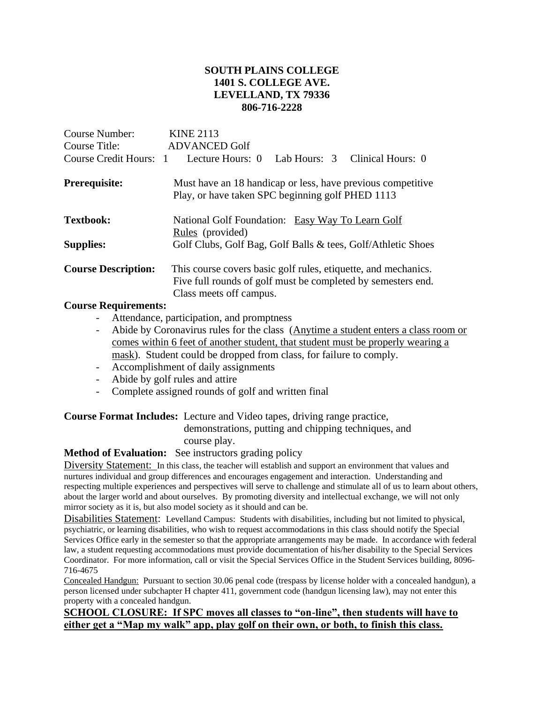## **SOUTH PLAINS COLLEGE 1401 S. COLLEGE AVE. LEVELLAND, TX 79336 806-716-2228**

| Course Number:<br>Course Title:<br>Course Credit Hours: 1 | <b>KINE 2113</b><br><b>ADVANCED Golf</b><br>Lab Hours: 3 Clinical Hours: 0<br>Lecture Hours: 0                                                            |  |  |
|-----------------------------------------------------------|-----------------------------------------------------------------------------------------------------------------------------------------------------------|--|--|
|                                                           |                                                                                                                                                           |  |  |
| <b>Prerequisite:</b>                                      | Must have an 18 handicap or less, have previous competitive<br>Play, or have taken SPC beginning golf PHED 1113                                           |  |  |
| <b>Textbook:</b>                                          | National Golf Foundation: Easy Way To Learn Golf<br>Rules (provided)                                                                                      |  |  |
| <b>Supplies:</b>                                          | Golf Clubs, Golf Bag, Golf Balls & tees, Golf/Athletic Shoes                                                                                              |  |  |
| <b>Course Description:</b>                                | This course covers basic golf rules, etiquette, and mechanics.<br>Five full rounds of golf must be completed by semesters end.<br>Class meets off campus. |  |  |
|                                                           |                                                                                                                                                           |  |  |

#### **Course Requirements:**

- Attendance, participation, and promptness
- Abide by Coronavirus rules for the class (Anytime a student enters a class room or comes within 6 feet of another student, that student must be properly wearing a mask). Student could be dropped from class, for failure to comply.
- Accomplishment of daily assignments
- Abide by golf rules and attire
- Complete assigned rounds of golf and written final

### **Course Format Includes:** Lecture and Video tapes, driving range practice,

 demonstrations, putting and chipping techniques, and course play.

#### **Method of Evaluation:** See instructors grading policy

Diversity Statement: In this class, the teacher will establish and support an environment that values and nurtures individual and group differences and encourages engagement and interaction. Understanding and respecting multiple experiences and perspectives will serve to challenge and stimulate all of us to learn about others, about the larger world and about ourselves. By promoting diversity and intellectual exchange, we will not only mirror society as it is, but also model society as it should and can be.

Disabilities Statement: Levelland Campus: Students with disabilities, including but not limited to physical, psychiatric, or learning disabilities, who wish to request accommodations in this class should notify the Special Services Office early in the semester so that the appropriate arrangements may be made. In accordance with federal law, a student requesting accommodations must provide documentation of his/her disability to the Special Services Coordinator. For more information, call or visit the Special Services Office in the Student Services building, 8096- 716-4675

Concealed Handgun: Pursuant to section 30.06 penal code (trespass by license holder with a concealed handgun), a person licensed under subchapter H chapter 411, government code (handgun licensing law), may not enter this property with a concealed handgun.

#### **SCHOOL CLOSURE: If SPC moves all classes to "on-line", then students will have to either get a "Map my walk" app, play golf on their own, or both, to finish this class.**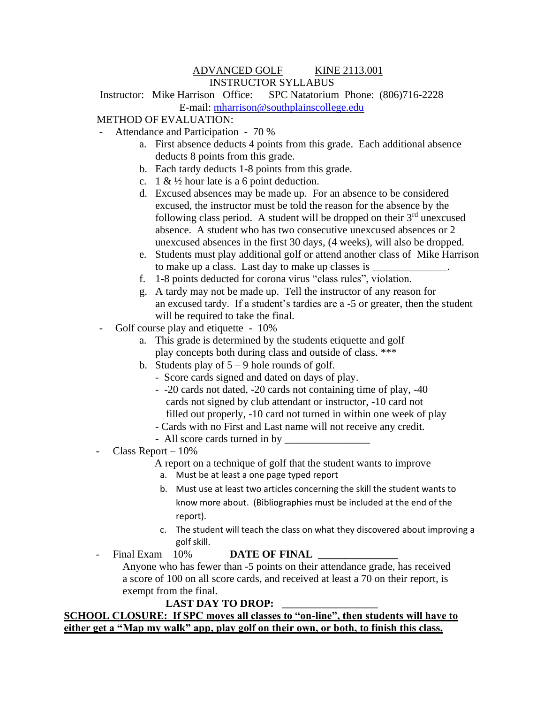### ADVANCED GOLF KINE 2113.001 INSTRUCTOR SYLLABUS

Instructor: Mike Harrison Office: SPC Natatorium Phone: (806)716-2228 E-mail: [mharrison@southplainscollege.edu](mailto:mharrison@southplainscollege.edu)

## METHOD OF EVALUATION:

- Attendance and Participation 70 %
	- a. First absence deducts 4 points from this grade. Each additional absence deducts 8 points from this grade.
	- b. Each tardy deducts 1-8 points from this grade.
	- c. 1 &  $\frac{1}{2}$  hour late is a 6 point deduction.
	- d. Excused absences may be made up. For an absence to be considered excused, the instructor must be told the reason for the absence by the following class period. A student will be dropped on their  $3<sup>rd</sup>$  unexcused absence. A student who has two consecutive unexcused absences or 2 unexcused absences in the first 30 days, (4 weeks), will also be dropped.
	- e. Students must play additional golf or attend another class of Mike Harrison to make up a class. Last day to make up classes is
	- f. 1-8 points deducted for corona virus "class rules", violation.
	- g. A tardy may not be made up. Tell the instructor of any reason for an excused tardy. If a student's tardies are a -5 or greater, then the student will be required to take the final.
- Golf course play and etiquette 10%
	- a. This grade is determined by the students etiquette and golf play concepts both during class and outside of class. \*\*\*
	- b. Students play of  $5 9$  hole rounds of golf.
		- Score cards signed and dated on days of play.
		- -20 cards not dated, -20 cards not containing time of play, -40 cards not signed by club attendant or instructor, -10 card not filled out properly, -10 card not turned in within one week of play
		- Cards with no First and Last name will not receive any credit.
		- All score cards turned in by
- Class Report 10%
	- A report on a technique of golf that the student wants to improve
	- a. Must be at least a one page typed report
	- b. Must use at least two articles concerning the skill the student wants to know more about. (Bibliographies must be included at the end of the report).
	- c. The student will teach the class on what they discovered about improving a golf skill.
	- Final Exam 10% **DATE OF FINAL**  Anyone who has fewer than -5 points on their attendance grade, has received a score of 100 on all score cards, and received at least a 70 on their report, is exempt from the final.

### **LAST DAY TO DROP:**

**SCHOOL CLOSURE: If SPC moves all classes to "on-line", then students will have to either get a "Map my walk" app, play golf on their own, or both, to finish this class.**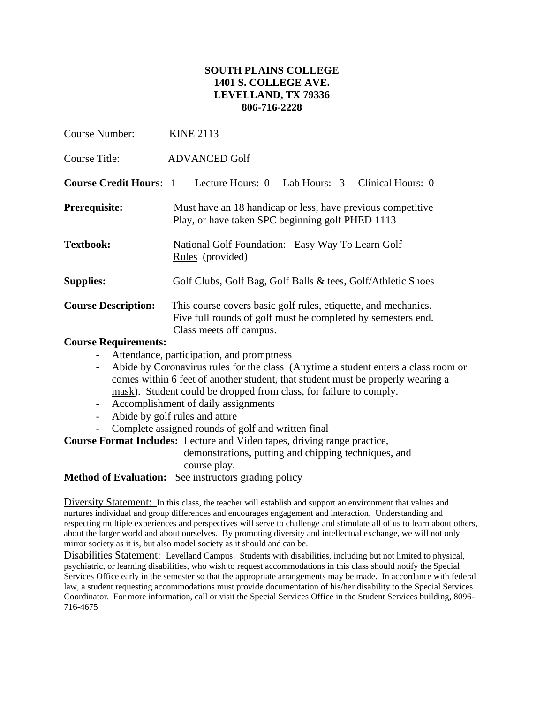## **SOUTH PLAINS COLLEGE 1401 S. COLLEGE AVE. LEVELLAND, TX 79336 806-716-2228**

| <b>Course Number:</b>         | <b>KINE 2113</b>                                                                                                                                          |  |  |
|-------------------------------|-----------------------------------------------------------------------------------------------------------------------------------------------------------|--|--|
| Course Title:                 | <b>ADVANCED Golf</b>                                                                                                                                      |  |  |
| <b>Course Credit Hours: 1</b> | Lecture Hours: 0 Lab Hours: 3 Clinical Hours: 0                                                                                                           |  |  |
| <b>Prerequisite:</b>          | Must have an 18 handicap or less, have previous competitive<br>Play, or have taken SPC beginning golf PHED 1113                                           |  |  |
| <b>Textbook:</b>              | National Golf Foundation: Easy Way To Learn Golf<br>Rules (provided)                                                                                      |  |  |
| <b>Supplies:</b>              | Golf Clubs, Golf Bag, Golf Balls & tees, Golf/Athletic Shoes                                                                                              |  |  |
| <b>Course Description:</b>    | This course covers basic golf rules, etiquette, and mechanics.<br>Five full rounds of golf must be completed by semesters end.<br>Class meets off campus. |  |  |
| Course Dequirements           |                                                                                                                                                           |  |  |

#### **Course Requirements:**

- Attendance, participation, and promptness
- Abide by Coronavirus rules for the class (Anytime a student enters a class room or comes within 6 feet of another student, that student must be properly wearing a mask). Student could be dropped from class, for failure to comply.
- Accomplishment of daily assignments
- Abide by golf rules and attire
- Complete assigned rounds of golf and written final

**Course Format Includes:** Lecture and Video tapes, driving range practice,

 demonstrations, putting and chipping techniques, and course play.

**Method of Evaluation:** See instructors grading policy

Diversity Statement: In this class, the teacher will establish and support an environment that values and nurtures individual and group differences and encourages engagement and interaction. Understanding and respecting multiple experiences and perspectives will serve to challenge and stimulate all of us to learn about others, about the larger world and about ourselves. By promoting diversity and intellectual exchange, we will not only mirror society as it is, but also model society as it should and can be.

Disabilities Statement: Levelland Campus: Students with disabilities, including but not limited to physical, psychiatric, or learning disabilities, who wish to request accommodations in this class should notify the Special Services Office early in the semester so that the appropriate arrangements may be made. In accordance with federal law, a student requesting accommodations must provide documentation of his/her disability to the Special Services Coordinator. For more information, call or visit the Special Services Office in the Student Services building, 8096- 716-4675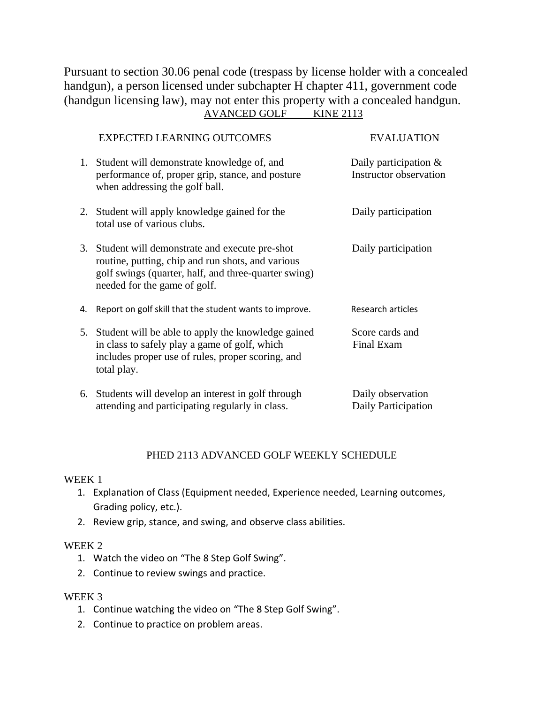Pursuant to section 30.06 penal code (trespass by license holder with a concealed handgun), a person licensed under subchapter H chapter 411, government code (handgun licensing law), may not enter this property with a concealed handgun. AVANCED GOLF KINE 2113

|    | <b>EXPECTED LEARNING OUTCOMES</b>                                                                                                                                                             | <b>EVALUATION</b>                                         |
|----|-----------------------------------------------------------------------------------------------------------------------------------------------------------------------------------------------|-----------------------------------------------------------|
|    | 1. Student will demonstrate knowledge of, and<br>performance of, proper grip, stance, and posture<br>when addressing the golf ball.                                                           | Daily participation $\&$<br><b>Instructor</b> observation |
|    | 2. Student will apply knowledge gained for the<br>total use of various clubs.                                                                                                                 | Daily participation                                       |
|    | 3. Student will demonstrate and execute pre-shot<br>routine, putting, chip and run shots, and various<br>golf swings (quarter, half, and three-quarter swing)<br>needed for the game of golf. | Daily participation                                       |
| 4. | Report on golf skill that the student wants to improve.                                                                                                                                       | Research articles                                         |
|    | 5. Student will be able to apply the knowledge gained<br>in class to safely play a game of golf, which<br>includes proper use of rules, proper scoring, and<br>total play.                    | Score cards and<br><b>Final Exam</b>                      |
|    | 6. Students will develop an interest in golf through<br>attending and participating regularly in class.                                                                                       | Daily observation<br>Daily Participation                  |

# PHED 2113 ADVANCED GOLF WEEKLY SCHEDULE

#### WEEK 1

- 1. Explanation of Class (Equipment needed, Experience needed, Learning outcomes, Grading policy, etc.).
- 2. Review grip, stance, and swing, and observe class abilities.

#### WEEK 2

- 1. Watch the video on "The 8 Step Golf Swing".
- 2. Continue to review swings and practice.

### WEEK 3

- 1. Continue watching the video on "The 8 Step Golf Swing".
- 2. Continue to practice on problem areas.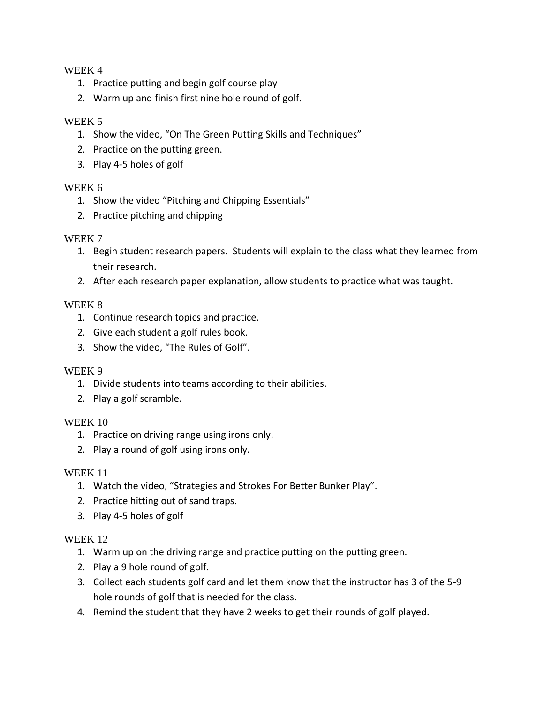## WEEK 4

- 1. Practice putting and begin golf course play
- 2. Warm up and finish first nine hole round of golf.

## WEEK 5

- 1. Show the video, "On The Green Putting Skills and Techniques"
- 2. Practice on the putting green.
- 3. Play 4-5 holes of golf

# WEEK 6

- 1. Show the video "Pitching and Chipping Essentials"
- 2. Practice pitching and chipping

## WEEK 7

- 1. Begin student research papers. Students will explain to the class what they learned from their research.
- 2. After each research paper explanation, allow students to practice what was taught.

## WEEK 8

- 1. Continue research topics and practice.
- 2. Give each student a golf rules book.
- 3. Show the video, "The Rules of Golf".

### WEEK 9

- 1. Divide students into teams according to their abilities.
- 2. Play a golf scramble.

### WEEK 10

- 1. Practice on driving range using irons only.
- 2. Play a round of golf using irons only.

### WEEK 11

- 1. Watch the video, "Strategies and Strokes For Better Bunker Play".
- 2. Practice hitting out of sand traps.
- 3. Play 4-5 holes of golf

### WEEK 12

- 1. Warm up on the driving range and practice putting on the putting green.
- 2. Play a 9 hole round of golf.
- 3. Collect each students golf card and let them know that the instructor has 3 of the 5-9 hole rounds of golf that is needed for the class.
- 4. Remind the student that they have 2 weeks to get their rounds of golf played.